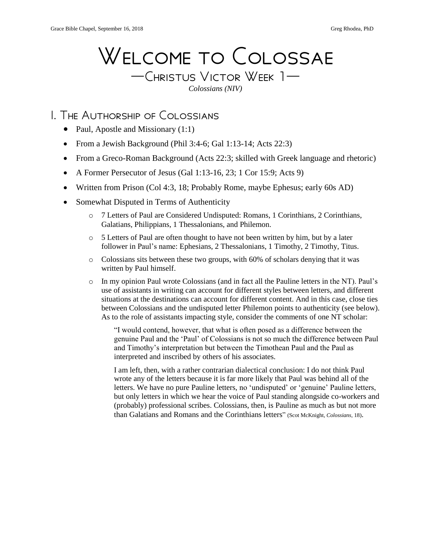# Welcome to Colossae

—Christus Victor Week 1— *Colossians (NIV)*

### I. The Authorship of Colossians

- Paul, Apostle and Missionary (1:1)
- From a Jewish Background (Phil 3:4-6; Gal 1:13-14; Acts 22:3)
- From a Greco-Roman Background (Acts 22:3; skilled with Greek language and rhetoric)
- A Former Persecutor of Jesus (Gal 1:13-16, 23; 1 Cor 15:9; Acts 9)
- Written from Prison (Col 4:3, 18; Probably Rome, maybe Ephesus; early 60s AD)
- Somewhat Disputed in Terms of Authenticity
	- o 7 Letters of Paul are Considered Undisputed: Romans, 1 Corinthians, 2 Corinthians, Galatians, Philippians, 1 Thessalonians, and Philemon.
	- $\circ$  5 Letters of Paul are often thought to have not been written by him, but by a later follower in Paul's name: Ephesians, 2 Thessalonians, 1 Timothy, 2 Timothy, Titus.
	- $\circ$  Colossians sits between these two groups, with 60% of scholars denying that it was written by Paul himself.
	- o In my opinion Paul wrote Colossians (and in fact all the Pauline letters in the NT). Paul's use of assistants in writing can account for different styles between letters, and different situations at the destinations can account for different content. And in this case, close ties between Colossians and the undisputed letter Philemon points to authenticity (see below). As to the role of assistants impacting style, consider the comments of one NT scholar:

"I would contend, however, that what is often posed as a difference between the genuine Paul and the 'Paul' of Colossians is not so much the difference between Paul and Timothy's interpretation but between the Timothean Paul and the Paul as interpreted and inscribed by others of his associates.

I am left, then, with a rather contrarian dialectical conclusion: I do not think Paul wrote any of the letters because it is far more likely that Paul was behind all of the letters. We have no pure Pauline letters, no 'undisputed' or 'genuine' Pauline letters, but only letters in which we hear the voice of Paul standing alongside co-workers and (probably) professional scribes. Colossians, then, is Pauline as much as but not more than Galatians and Romans and the Corinthians letters" (Scot McKnight, *Colossians,* 18).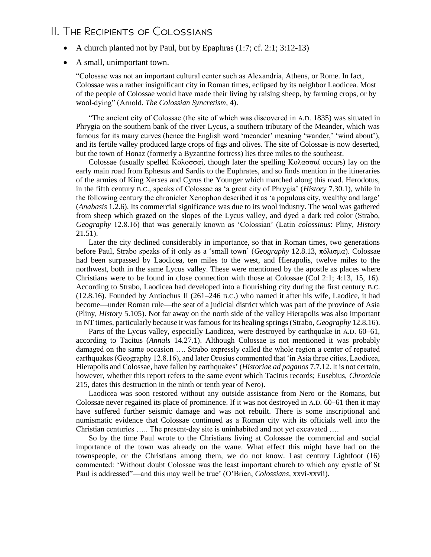## II. The Recipients of Colossians

- A church planted not by Paul, but by Epaphras  $(1:7; cf. 2:1; 3:12-13)$
- A small, unimportant town.

"Colossae was not an important cultural center such as Alexandria, Athens, or Rome. In fact, Colossae was a rather insignificant city in Roman times, eclipsed by its neighbor Laodicea. Most of the people of Colossae would have made their living by raising sheep, by farming crops, or by wool-dying" (Arnold, *The Colossian Syncretism,* 4).

"The ancient city of Colossae (the site of which was discovered in A.D. 1835) was situated in Phrygia on the southern bank of the river Lycus, a southern tributary of the Meander, which was famous for its many curves (hence the English word 'meander' meaning 'wander,' 'wind about'), and its fertile valley produced large crops of figs and olives. The site of Colossae is now deserted, but the town of Honaz (formerly a Byzantine fortress) lies three miles to the southeast.

Colossae (usually spelled Κολοσσαί, though later the spelling Κολασσαί occurs) lay on the early main road from Ephesus and Sardis to the Euphrates, and so finds mention in the itineraries of the armies of King Xerxes and Cyrus the Younger which marched along this road. Herodotus, in the fifth century B.C., speaks of Colossae as 'a great city of Phrygia' (*History* 7.30.1), while in the following century the chronicler Xenophon described it as 'a populous city, wealthy and large' (*Anabasis* 1.2.6). Its commercial significance was due to its wool industry. The wool was gathered from sheep which grazed on the slopes of the Lycus valley, and dyed a dark red color (Strabo, *Geography* 12.8.16) that was generally known as 'Colossian' (Latin *colossinus*: Pliny, *History* 21.51).

Later the city declined considerably in importance, so that in Roman times, two generations before Paul, Strabo speaks of it only as a 'small town' (*Geography* 12.8.13, πόλισμα). Colossae had been surpassed by Laodicea, ten miles to the west, and Hierapolis, twelve miles to the northwest, both in the same Lycus valley. These were mentioned by the apostle as places where Christians were to be found in close connection with those at Colossae (Col 2:1; 4:13, 15, 16). According to Strabo, Laodicea had developed into a flourishing city during the first century B.C. (12.8.16). Founded by Antiochus II (261–246 B.C.) who named it after his wife, Laodice, it had become—under Roman rule—the seat of a judicial district which was part of the province of Asia (Pliny, *History* 5.105). Not far away on the north side of the valley Hierapolis was also important in NT times, particularly because it was famous for its healing springs (Strabo, *Geography* 12.8.16).

Parts of the Lycus valley, especially Laodicea, were destroyed by earthquake in A.D. 60–61, according to Tacitus (*Annals* 14.27.1). Although Colossae is not mentioned it was probably damaged on the same occasion …. Strabo expressly called the whole region a center of repeated earthquakes (Geography 12.8.16), and later Orosius commented that 'in Asia three cities, Laodicea, Hierapolis and Colossae, have fallen by earthquakes' (*Historiae ad paganos* 7.7.12. It is not certain, however, whether this report refers to the same event which Tacitus records; Eusebius, *Chronicle* 215, dates this destruction in the ninth or tenth year of Nero).

Laodicea was soon restored without any outside assistance from Nero or the Romans, but Colossae never regained its place of prominence. If it was not destroyed in A.D. 60–61 then it may have suffered further seismic damage and was not rebuilt. There is some inscriptional and numismatic evidence that Colossae continued as a Roman city with its officials well into the Christian centuries ….. The present-day site is uninhabited and not yet excavated ….

So by the time Paul wrote to the Christians living at Colossae the commercial and social importance of the town was already on the wane. What effect this might have had on the townspeople, or the Christians among them, we do not know. Last century Lightfoot (16) commented: 'Without doubt Colossae was the least important church to which any epistle of St Paul is addressed"—and this may well be true' (O'Brien, *Colossians,* xxvi-xxvii).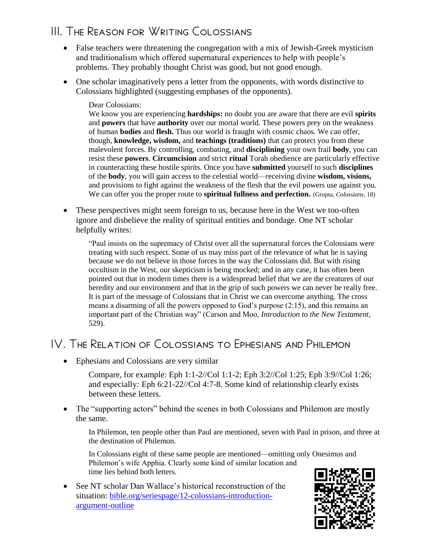## III. The Reason for Writing Colossians

- False teachers were threatening the congregation with a mix of Jewish-Greek mysticism and traditionalism which offered supernatural experiences to help with people's problems. They probably thought Christ was good, but not good enough.
- One scholar imaginatively pens a letter from the opponents, with words distinctive to Colossians highlighted (suggesting emphases of the opponents).

#### Dear Colossians:

We know you are experiencing **hardships:** no doubt you are aware that there are evil **spirits**  and **powers** that have **authority** over our mortal world. These powers prey on the weakness of human **bodies** and **flesh.** Thus our world is fraught with cosmic chaos. We can offer, though, **knowledge, wisdom,** and **teachings (traditions)** that can protect you from these malevolent forces. By controlling, combating, and **disciplining** your own frail **body**, you can resist these **powers**. **Circumcision** and strict **ritual** Torah obedience are particularly effective in counteracting these hostile spirits. Once you have **submitted** yourself to such **disciplines**  of the **body**, you will gain access to the celestial world—receiving divine **wisdom, visions,** and provisions to fight against the weakness of the flesh that the evil powers use against you. We can offer you the proper route to **spiritual fullness and perfection.** (Grupta, *Colossians,* 18)

• These perspectives might seem foreign to us, because here in the West we too-often ignore and disbelieve the reality of spiritual entities and bondage. One NT scholar helpfully writes:

"Paul insists on the supremacy of Christ over all the supernatural forces the Colossians were treating with such respect. Some of us may miss part of the relevance of what he is saying because we do not believe in those forces in the way the Colossians did. But with rising occultism in the West, our skepticism is being mocked; and in any case, it has often been pointed out that in modern times there is a widespread belief that we are the creatures of our heredity and our environment and that in the grip of such powers we can never be really free. It is part of the message of Colossians that in Christ we can overcome anything. The cross means a disarming of all the powers opposed to God's purpose (2:15), and this remains an important part of the Christian way" (Carson and Moo, *Introduction to the New Testament,*  529).

## IV. The Relation of Colossians to Ephesians and Philemon

• Ephesians and Colossians are very similar

Compare, for example: Eph 1:1-2//Col 1:1-2; Eph 3:2//Col 1:25; Eph 3:9//Col 1:26; and especially*:* Eph 6:21-22//Col 4:7-8. Some kind of relationship clearly exists between these letters.

• The "supporting actors" behind the scenes in both Colossians and Philemon are mostly the same.

In Philemon, ten people other than Paul are mentioned, seven with Paul in prison, and three at the destination of Philemon.

In Colossians eight of these same people are mentioned—omitting only Onesimus and Philemon's wife Apphia. Clearly some kind of similar location and time lies behind both letters.

• See NT scholar Dan Wallace's historical reconstruction of the situation: [bible.org/seriespage/12-colossians-introduction](https://bible.org/seriespage/12-colossians-introduction-argument-outline)[argument-outline](https://bible.org/seriespage/12-colossians-introduction-argument-outline)